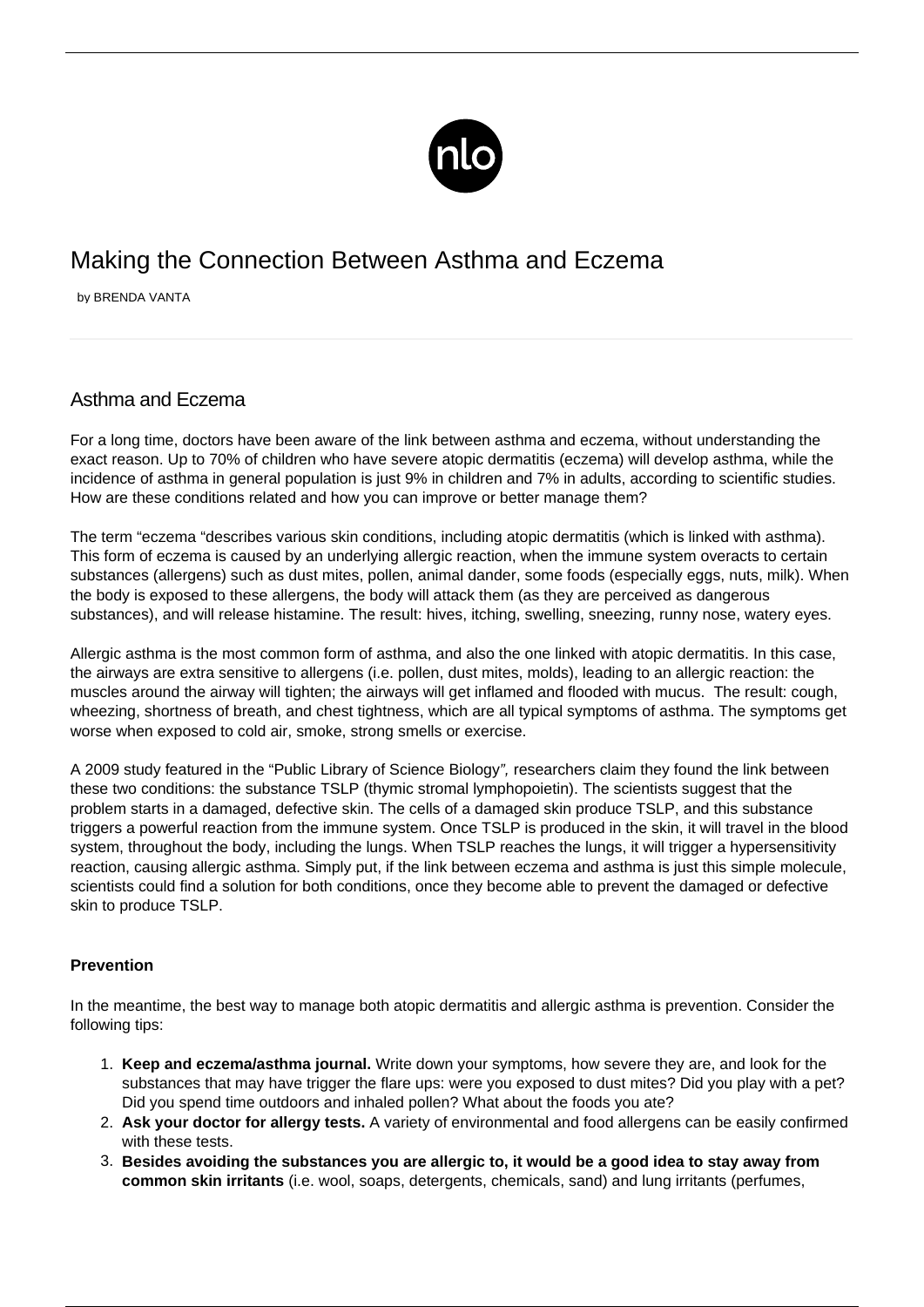

## Making the Connection Between Asthma and Eczema

by BRENDA VANTA

## Asthma and Eczema

For a long time, doctors have been aware of the link between asthma and eczema, without understanding the exact reason. Up to 70% of children who have severe atopic dermatitis (eczema) will develop asthma, while the incidence of asthma in general population is just [9% in children](/childhood-asthma-management/) and 7% in adults, according to scientific studies. How are these conditions related and how you can improve or better manage them?

The term "eczema "describes various skin conditions, including atopic dermatitis (which is linked with asthma). This form of eczema is caused by an underlying allergic reaction, when the immune system overacts to certain substances (allergens) such as dust mites, pollen, animal dander, some foods (especially eggs, nuts, milk). When the body is exposed to these allergens, the body will attack them (as they are perceived as dangerous substances), and will release histamine. The result: hives, itching, swelling, sneezing, runny nose, watery eyes.

Allergic asthma is the most common form of asthma, and also the one linked with atopic dermatitis. In this case, the airways are extra sensitive to allergens (i.e. pollen, dust mites, molds), leading to an allergic reaction: the muscles around the airway will tighten; the airways will get inflamed and flooded with mucus. The result: cough, wheezing, shortness of breath, and chest tightness, which are all typical symptoms of asthma. The symptoms get worse when exposed to cold air, smoke, strong smells or exercise.

A 2009 study featured in the "Public Library of Science Biology", researchers claim they found the link between these two conditions: the substance TSLP (thymic stromal lymphopoietin). The scientists suggest that the problem starts in a damaged, defective skin. The cells of a damaged skin produce TSLP, and this substance triggers a powerful reaction from the immune system. Once TSLP is produced in the skin, it will travel in the blood system, throughout the body, including the lungs. When TSLP reaches the lungs, it will trigger a hypersensitivity reaction, causing allergic asthma. Simply put, if the link between eczema and asthma is just this simple molecule, scientists could find a solution for both conditions, once they become able to prevent the damaged or defective skin to produce TSLP.

## **Prevention**

In the meantime, the best way to manage both atopic dermatitis and allergic asthma is prevention. Consider the following tips:

- 1. **Keep and eczema/asthma journal.** Write down your symptoms, how severe they are, and look for the substances that may have trigger the flare ups: were you exposed to dust mites? Did you play with a pet? Did you spend time outdoors and inhaled pollen? What about the foods you ate?
- 2. **Ask your doctor for allergy tests.** A variety of environmental and food allergens can be easily confirmed with these tests.
- 3. **Besides avoiding the substances you are allergic to, it would be a good idea to stay away from common skin irritants** (i.e. wool, soaps, detergents, chemicals, sand) and lung irritants (perfumes,